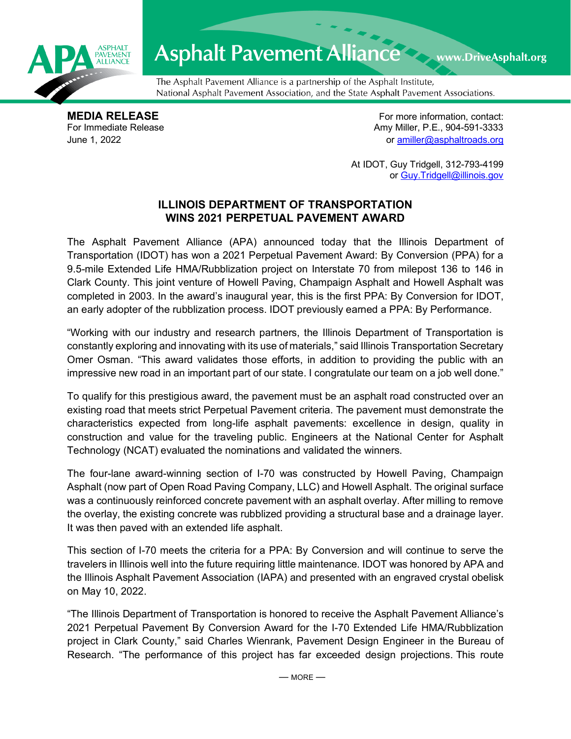

## Asphalt Pavement Alliance Mark DriveAsphalt.org

The Asphalt Pavement Alliance is a partnership of the Asphalt Institute, National Asphalt Pavement Association, and the State Asphalt Pavement Associations.

**MEDIA RELEASE**<br>
For Immediate Release **For more information, contact:**<br>
For Immediate Release **For the Structure of Amy Miller, P.E., 904-591-3333** Amy Miller, P.E., 904-591-3333 June 1, 2022 or [amiller@asphaltroads.org](mailto:amiller@asphaltroads.org)

> At IDOT, Guy Tridgell, 312-793-4199 or [Guy.Tridgell@illinois.gov](mailto:Guy.Tridgell@illinois.gov)

## **ILLINOIS DEPARTMENT OF TRANSPORTATION WINS 2021 PERPETUAL PAVEMENT AWARD**

The Asphalt Pavement Alliance (APA) announced today that the Illinois Department of Transportation (IDOT) has won a 2021 Perpetual Pavement Award: By Conversion (PPA) for a 9.5-mile Extended Life HMA/Rubblization project on Interstate 70 from milepost 136 to 146 in Clark County. This joint venture of Howell Paving, Champaign Asphalt and Howell Asphalt was completed in 2003. In the award's inaugural year, this is the first PPA: By Conversion for IDOT, an early adopter of the rubblization process. IDOT previously earned a PPA: By Performance.

"Working with our industry and research partners, the Illinois Department of Transportation is constantly exploring and innovating with its use of materials," said Illinois Transportation Secretary Omer Osman. "This award validates those efforts, in addition to providing the public with an impressive new road in an important part of our state. I congratulate our team on a job well done."

To qualify for this prestigious award, the pavement must be an asphalt road constructed over an existing road that meets strict Perpetual Pavement criteria. The pavement must demonstrate the characteristics expected from long-life asphalt pavements: excellence in design, quality in construction and value for the traveling public. Engineers at the National Center for Asphalt Technology (NCAT) evaluated the nominations and validated the winners.

The four-lane award-winning section of I-70 was constructed by Howell Paving, Champaign Asphalt (now part of Open Road Paving Company, LLC) and Howell Asphalt. The original surface was a continuously reinforced concrete pavement with an asphalt overlay. After milling to remove the overlay, the existing concrete was rubblized providing a structural base and a drainage layer. It was then paved with an extended life asphalt.

This section of I-70 meets the criteria for a PPA: By Conversion and will continue to serve the travelers in Illinois well into the future requiring little maintenance. IDOT was honored by APA and the Illinois Asphalt Pavement Association (IAPA) and presented with an engraved crystal obelisk on May 10, 2022.

"The Illinois Department of Transportation is honored to receive the Asphalt Pavement Alliance's 2021 Perpetual Pavement By Conversion Award for the I-70 Extended Life HMA/Rubblization project in Clark County," said Charles Wienrank, Pavement Design Engineer in the Bureau of Research. "The performance of this project has far exceeded design projections. This route